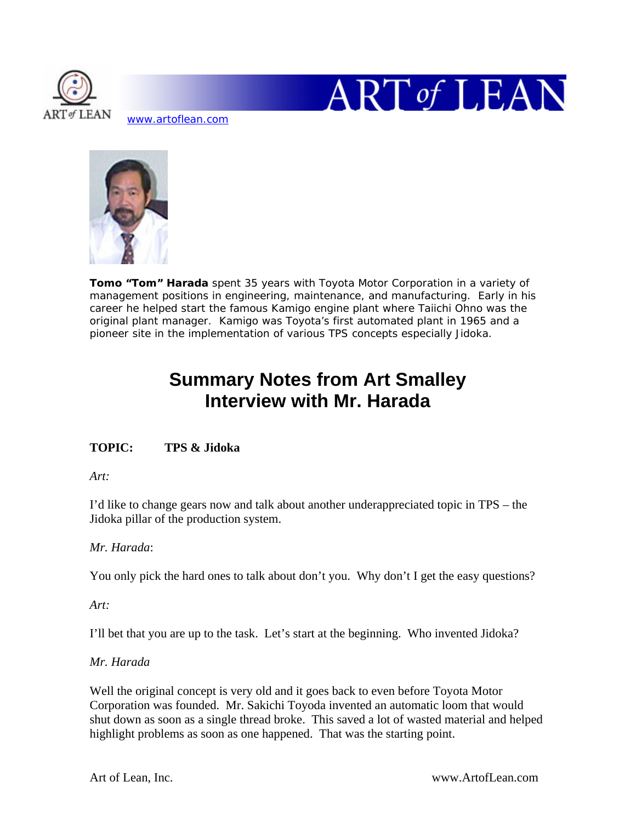



www.artoflean.com



**Tomo "Tom" Harada** spent 35 years with Toyota Motor Corporation in a variety of management positions in engineering, maintenance, and manufacturing. Early in his career he helped start the famous Kamigo engine plant where Taiichi Ohno was the original plant manager. Kamigo was Toyota's first automated plant in 1965 and a pioneer site in the implementation of various TPS concepts especially Jidoka.

# **Summary Notes from Art Smalley Interview with Mr. Harada**

# **TOPIC: TPS & Jidoka**

*Art:* 

I'd like to change gears now and talk about another underappreciated topic in TPS – the Jidoka pillar of the production system.

# *Mr. Harada*:

You only pick the hard ones to talk about don't you. Why don't I get the easy questions?

*Art:* 

I'll bet that you are up to the task. Let's start at the beginning. Who invented Jidoka?

*Mr. Harada* 

Well the original concept is very old and it goes back to even before Toyota Motor Corporation was founded. Mr. Sakichi Toyoda invented an automatic loom that would shut down as soon as a single thread broke. This saved a lot of wasted material and helped highlight problems as soon as one happened. That was the starting point.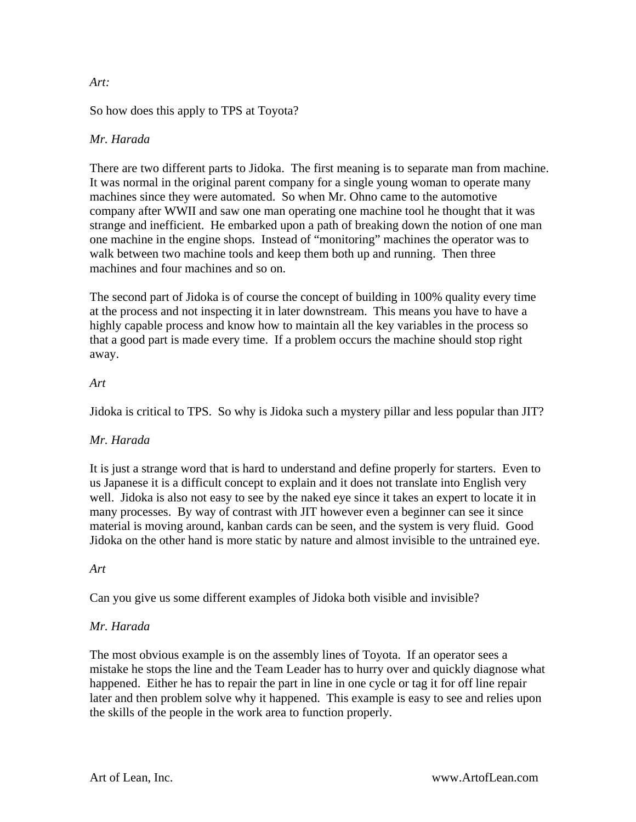# *Art:*

So how does this apply to TPS at Toyota?

# *Mr. Harada*

There are two different parts to Jidoka. The first meaning is to separate man from machine. It was normal in the original parent company for a single young woman to operate many machines since they were automated. So when Mr. Ohno came to the automotive company after WWII and saw one man operating one machine tool he thought that it was strange and inefficient. He embarked upon a path of breaking down the notion of one man one machine in the engine shops. Instead of "monitoring" machines the operator was to walk between two machine tools and keep them both up and running. Then three machines and four machines and so on.

The second part of Jidoka is of course the concept of building in 100% quality every time at the process and not inspecting it in later downstream. This means you have to have a highly capable process and know how to maintain all the key variables in the process so that a good part is made every time. If a problem occurs the machine should stop right away.

#### *Art*

Jidoka is critical to TPS. So why is Jidoka such a mystery pillar and less popular than JIT?

#### *Mr. Harada*

It is just a strange word that is hard to understand and define properly for starters. Even to us Japanese it is a difficult concept to explain and it does not translate into English very well. Jidoka is also not easy to see by the naked eye since it takes an expert to locate it in many processes. By way of contrast with JIT however even a beginner can see it since material is moving around, kanban cards can be seen, and the system is very fluid. Good Jidoka on the other hand is more static by nature and almost invisible to the untrained eye.

#### *Art*

Can you give us some different examples of Jidoka both visible and invisible?

#### *Mr. Harada*

The most obvious example is on the assembly lines of Toyota. If an operator sees a mistake he stops the line and the Team Leader has to hurry over and quickly diagnose what happened. Either he has to repair the part in line in one cycle or tag it for off line repair later and then problem solve why it happened. This example is easy to see and relies upon the skills of the people in the work area to function properly.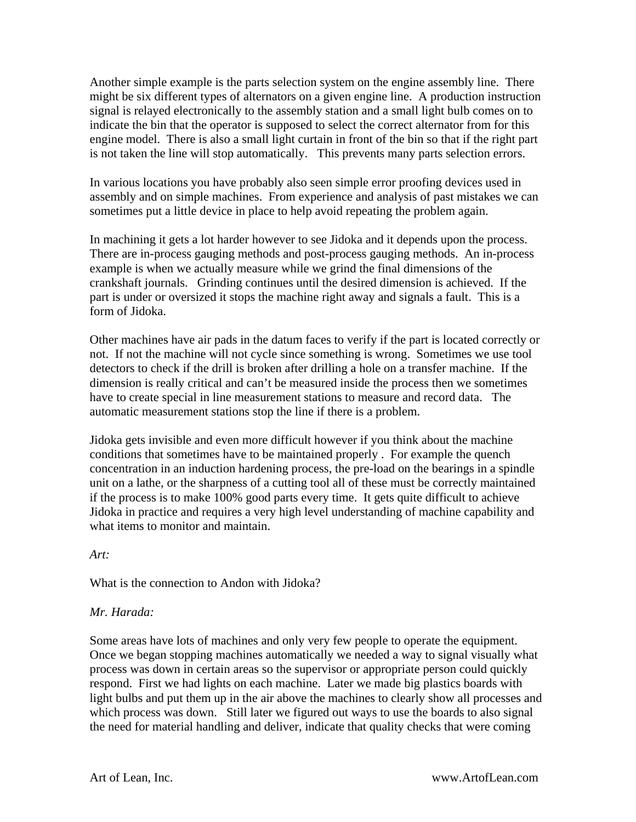Another simple example is the parts selection system on the engine assembly line. There might be six different types of alternators on a given engine line. A production instruction signal is relayed electronically to the assembly station and a small light bulb comes on to indicate the bin that the operator is supposed to select the correct alternator from for this engine model. There is also a small light curtain in front of the bin so that if the right part is not taken the line will stop automatically. This prevents many parts selection errors.

In various locations you have probably also seen simple error proofing devices used in assembly and on simple machines. From experience and analysis of past mistakes we can sometimes put a little device in place to help avoid repeating the problem again.

In machining it gets a lot harder however to see Jidoka and it depends upon the process. There are in-process gauging methods and post-process gauging methods. An in-process example is when we actually measure while we grind the final dimensions of the crankshaft journals. Grinding continues until the desired dimension is achieved. If the part is under or oversized it stops the machine right away and signals a fault. This is a form of Jidoka.

Other machines have air pads in the datum faces to verify if the part is located correctly or not. If not the machine will not cycle since something is wrong. Sometimes we use tool detectors to check if the drill is broken after drilling a hole on a transfer machine. If the dimension is really critical and can't be measured inside the process then we sometimes have to create special in line measurement stations to measure and record data. The automatic measurement stations stop the line if there is a problem.

Jidoka gets invisible and even more difficult however if you think about the machine conditions that sometimes have to be maintained properly . For example the quench concentration in an induction hardening process, the pre-load on the bearings in a spindle unit on a lathe, or the sharpness of a cutting tool all of these must be correctly maintained if the process is to make 100% good parts every time. It gets quite difficult to achieve Jidoka in practice and requires a very high level understanding of machine capability and what items to monitor and maintain.

*Art:* 

What is the connection to Andon with Jidoka?

#### *Mr. Harada:*

Some areas have lots of machines and only very few people to operate the equipment. Once we began stopping machines automatically we needed a way to signal visually what process was down in certain areas so the supervisor or appropriate person could quickly respond. First we had lights on each machine. Later we made big plastics boards with light bulbs and put them up in the air above the machines to clearly show all processes and which process was down. Still later we figured out ways to use the boards to also signal the need for material handling and deliver, indicate that quality checks that were coming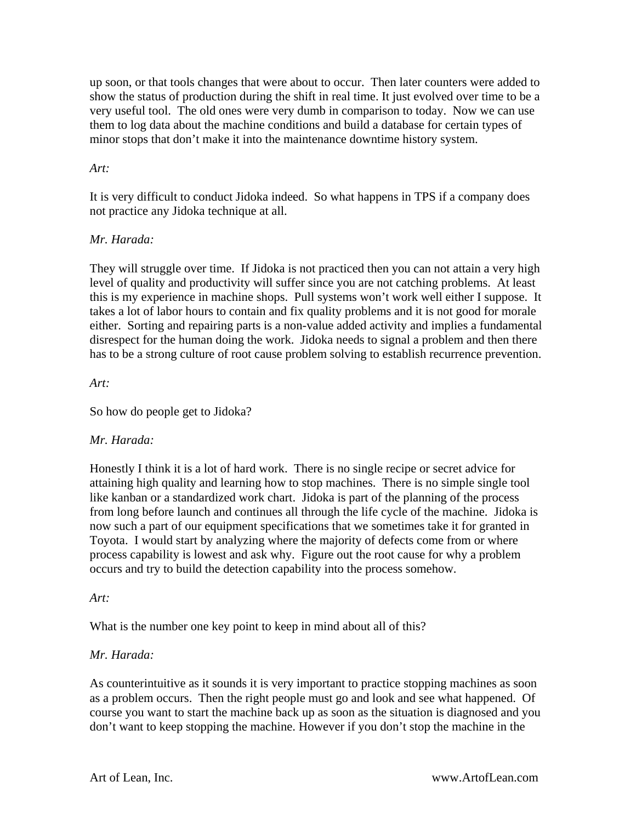up soon, or that tools changes that were about to occur. Then later counters were added to show the status of production during the shift in real time. It just evolved over time to be a very useful tool. The old ones were very dumb in comparison to today. Now we can use them to log data about the machine conditions and build a database for certain types of minor stops that don't make it into the maintenance downtime history system.

# *Art:*

It is very difficult to conduct Jidoka indeed. So what happens in TPS if a company does not practice any Jidoka technique at all.

# *Mr. Harada:*

They will struggle over time. If Jidoka is not practiced then you can not attain a very high level of quality and productivity will suffer since you are not catching problems. At least this is my experience in machine shops. Pull systems won't work well either I suppose. It takes a lot of labor hours to contain and fix quality problems and it is not good for morale either. Sorting and repairing parts is a non-value added activity and implies a fundamental disrespect for the human doing the work. Jidoka needs to signal a problem and then there has to be a strong culture of root cause problem solving to establish recurrence prevention.

# *Art:*

So how do people get to Jidoka?

# *Mr. Harada:*

Honestly I think it is a lot of hard work. There is no single recipe or secret advice for attaining high quality and learning how to stop machines. There is no simple single tool like kanban or a standardized work chart. Jidoka is part of the planning of the process from long before launch and continues all through the life cycle of the machine. Jidoka is now such a part of our equipment specifications that we sometimes take it for granted in Toyota. I would start by analyzing where the majority of defects come from or where process capability is lowest and ask why. Figure out the root cause for why a problem occurs and try to build the detection capability into the process somehow.

# *Art:*

What is the number one key point to keep in mind about all of this?

# *Mr. Harada:*

As counterintuitive as it sounds it is very important to practice stopping machines as soon as a problem occurs. Then the right people must go and look and see what happened. Of course you want to start the machine back up as soon as the situation is diagnosed and you don't want to keep stopping the machine. However if you don't stop the machine in the